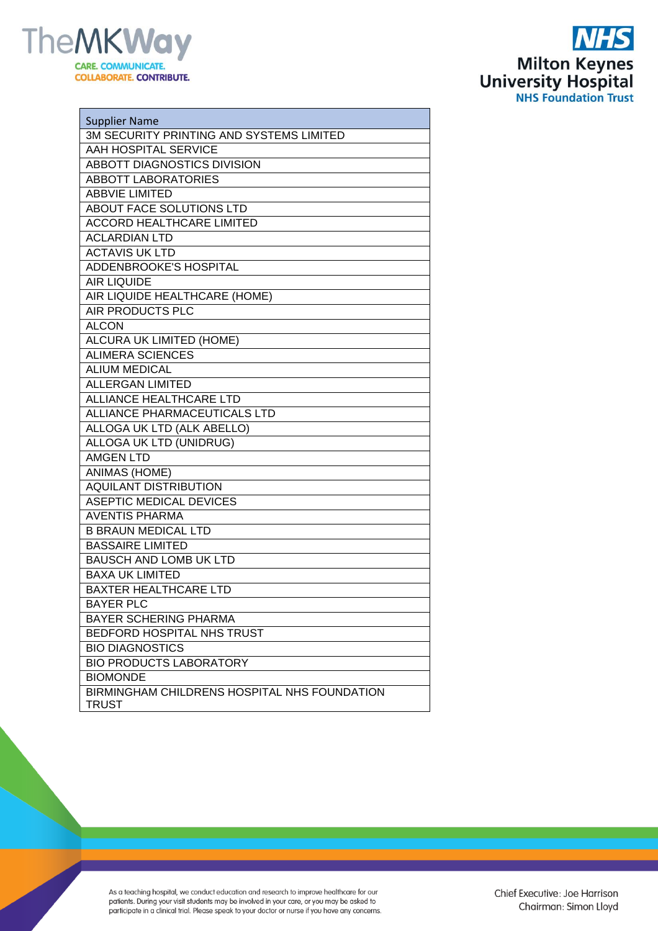



| <b>Supplier Name</b>                                         |
|--------------------------------------------------------------|
| 3M SECURITY PRINTING AND SYSTEMS LIMITED                     |
| AAH HOSPITAL SERVICE                                         |
| <b>ABBOTT DIAGNOSTICS DIVISION</b>                           |
| <b>ABBOTT LABORATORIES</b>                                   |
| <b>ABBVIE LIMITED</b>                                        |
| ABOUT FACE SOLUTIONS LTD                                     |
| <b>ACCORD HEALTHCARE LIMITED</b>                             |
| <b>ACLARDIAN LTD</b>                                         |
| <b>ACTAVIS UK LTD</b>                                        |
| ADDENBROOKE'S HOSPITAL                                       |
| <b>AIR LIQUIDE</b>                                           |
| AIR LIQUIDE HEALTHCARE (HOME)                                |
| AIR PRODUCTS PLC                                             |
| <b>ALCON</b>                                                 |
| <b>ALCURA UK LIMITED (HOME)</b>                              |
| <b>ALIMERA SCIENCES</b>                                      |
| <b>ALIUM MEDICAL</b>                                         |
| <b>ALLERGAN LIMITED</b>                                      |
| <b>ALLIANCE HEALTHCARE LTD</b>                               |
| <b>ALLIANCE PHARMACEUTICALS LTD</b>                          |
| ALLOGA UK LTD (ALK ABELLO)                                   |
| ALLOGA UK LTD (UNIDRUG)                                      |
| <b>AMGEN LTD</b>                                             |
| <b>ANIMAS (HOME)</b>                                         |
| <b>AQUILANT DISTRIBUTION</b>                                 |
| <b>ASEPTIC MEDICAL DEVICES</b>                               |
| <b>AVENTIS PHARMA</b>                                        |
| <b>B BRAUN MEDICAL LTD</b>                                   |
| <b>BASSAIRE LIMITED</b>                                      |
| <b>BAUSCH AND LOMB UK LTD</b>                                |
| <b>BAXA UK LIMITED</b>                                       |
| <b>BAXTER HEALTHCARE LTD</b>                                 |
| <b>BAYER PLC</b>                                             |
| <b>BAYER SCHERING PHARMA</b>                                 |
| BEDFORD HOSPITAL NHS TRUST                                   |
| <b>BIO DIAGNOSTICS</b>                                       |
| <b>BIO PRODUCTS LABORATORY</b>                               |
| <b>BIOMONDE</b>                                              |
| BIRMINGHAM CHILDRENS HOSPITAL NHS FOUNDATION<br><b>TRUST</b> |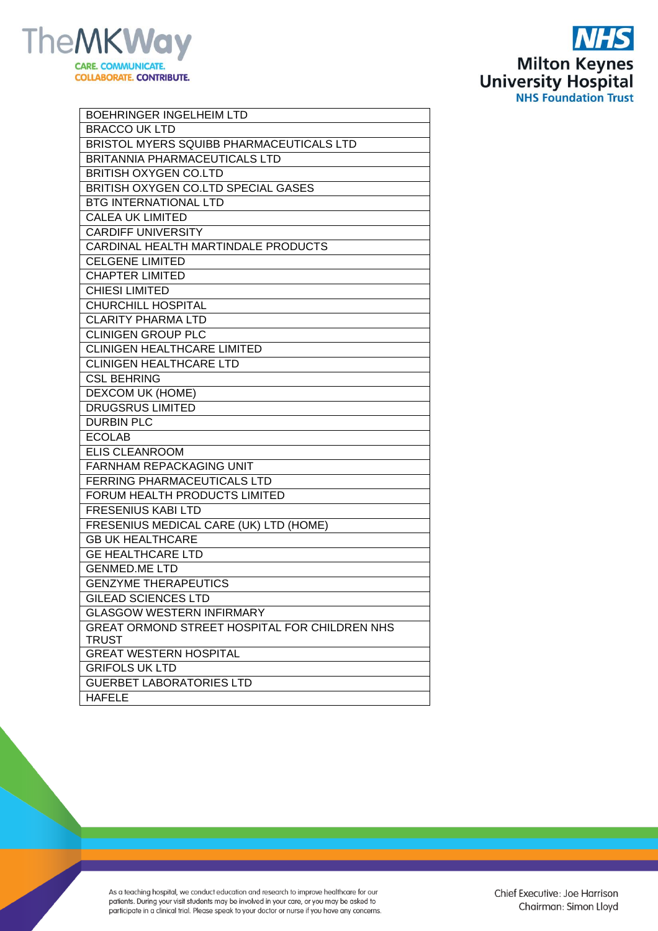



| <b>BOEHRINGER INGELHEIM LTD</b>               |
|-----------------------------------------------|
| <b>BRACCO UK LTD</b>                          |
| BRISTOL MYERS SQUIBB PHARMACEUTICALS LTD      |
| BRITANNIA PHARMACEUTICALS LTD                 |
| <b>BRITISH OXYGEN CO.LTD</b>                  |
| BRITISH OXYGEN CO.LTD SPECIAL GASES           |
| <b>BTG INTERNATIONAL LTD</b>                  |
| <b>CALEA UK LIMITED</b>                       |
| <b>CARDIFF UNIVERSITY</b>                     |
| CARDINAL HEALTH MARTINDALE PRODUCTS           |
| <b>CELGENE LIMITED</b>                        |
| <b>CHAPTER LIMITED</b>                        |
| <b>CHIESI LIMITED</b>                         |
| <b>CHURCHILL HOSPITAL</b>                     |
| <b>CLARITY PHARMA LTD</b>                     |
| <b>CLINIGEN GROUP PLC</b>                     |
| <b>CLINIGEN HEALTHCARE LIMITED</b>            |
| <b>CLINIGEN HEALTHCARE LTD</b>                |
| <b>CSL BEHRING</b>                            |
| <b>DEXCOM UK (HOME)</b>                       |
| <b>DRUGSRUS LIMITED</b>                       |
| <b>DURBIN PLC</b>                             |
| <b>ECOLAB</b>                                 |
| <b>ELIS CLEANROOM</b>                         |
| <b>FARNHAM REPACKAGING UNIT</b>               |
| FERRING PHARMACEUTICALS LTD                   |
| FORUM HEALTH PRODUCTS LIMITED                 |
| <b>FRESENIUS KABI LTD</b>                     |
| FRESENIUS MEDICAL CARE (UK) LTD (HOME)        |
| <b>GB UK HEALTHCARE</b>                       |
| <b>GE HEALTHCARE LTD</b>                      |
| <b>GENMED.ME LTD</b>                          |
| <b>GENZYME THERAPEUTICS</b>                   |
| <b>GILEAD SCIENCES LTD</b>                    |
| <b>GLASGOW WESTERN INFIRMARY</b>              |
| GREAT ORMOND STREET HOSPITAL FOR CHILDREN NHS |
| <b>TRUST</b>                                  |
| <b>GREAT WESTERN HOSPITAL</b>                 |
| <b>GRIFOLS UK LTD</b>                         |
| <b>GUERBET LABORATORIES LTD</b>               |
| <b>HAFELE</b>                                 |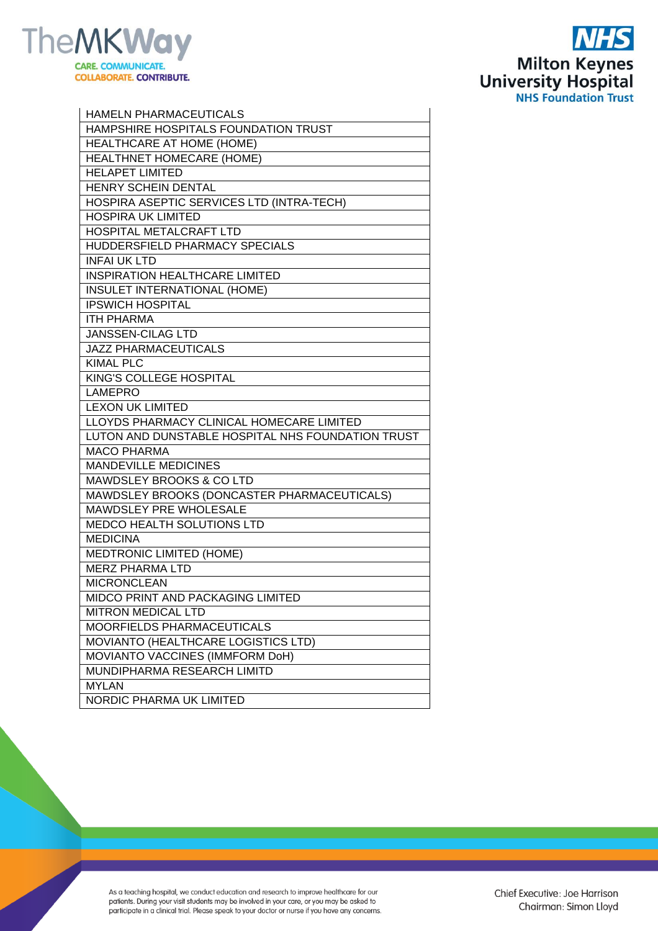

 $\mathbf{r}$ 



| <b>HAMELN PHARMACEUTICALS</b>                     |
|---------------------------------------------------|
| <b>HAMPSHIRE HOSPITALS FOUNDATION TRUST</b>       |
| HEALTHCARE AT HOME (HOME)                         |
| HEALTHNET HOMECARE (HOME)                         |
| <b>HELAPET LIMITED</b>                            |
| <b>HENRY SCHEIN DENTAL</b>                        |
| HOSPIRA ASEPTIC SERVICES LTD (INTRA-TECH)         |
| <b>HOSPIRA UK LIMITED</b>                         |
| HOSPITAL METALCRAFT LTD                           |
| HUDDERSFIELD PHARMACY SPECIALS                    |
| <b>INFAI UK LTD</b>                               |
| <b>INSPIRATION HEALTHCARE LIMITED</b>             |
| INSULET INTERNATIONAL (HOME)                      |
| <b>IPSWICH HOSPITAL</b>                           |
| <b>ITH PHARMA</b>                                 |
| <b>JANSSEN-CILAG LTD</b>                          |
| <b>JAZZ PHARMACEUTICALS</b>                       |
| <b>KIMAL PLC</b>                                  |
| KING'S COLLEGE HOSPITAL                           |
| <b>LAMEPRO</b>                                    |
| <b>LEXON UK LIMITED</b>                           |
| LLOYDS PHARMACY CLINICAL HOMECARE LIMITED         |
| LUTON AND DUNSTABLE HOSPITAL NHS FOUNDATION TRUST |
| <b>MACO PHARMA</b>                                |
| <b>MANDEVILLE MEDICINES</b>                       |
| <b>MAWDSLEY BROOKS &amp; CO LTD</b>               |
| MAWDSLEY BROOKS (DONCASTER PHARMACEUTICALS)       |
| MAWDSLEY PRE WHOLESALE                            |
| <b>MEDCO HEALTH SOLUTIONS LTD</b>                 |
| <b>MEDICINA</b>                                   |
| <b>MEDTRONIC LIMITED (HOME)</b>                   |
| <b>MERZ PHARMA LTD</b>                            |
| <b>MICRONCLEAN</b>                                |
| MIDCO PRINT AND PACKAGING LIMITED                 |
| MITRON MEDICAL LTD                                |
| MOORFIELDS PHARMACEUTICALS                        |
| MOVIANTO (HEALTHCARE LOGISTICS LTD)               |
| MOVIANTO VACCINES (IMMFORM DoH)                   |
| MUNDIPHARMA RESEARCH LIMITD                       |
| <b>MYLAN</b>                                      |
| NORDIC PHARMA UK LIMITED                          |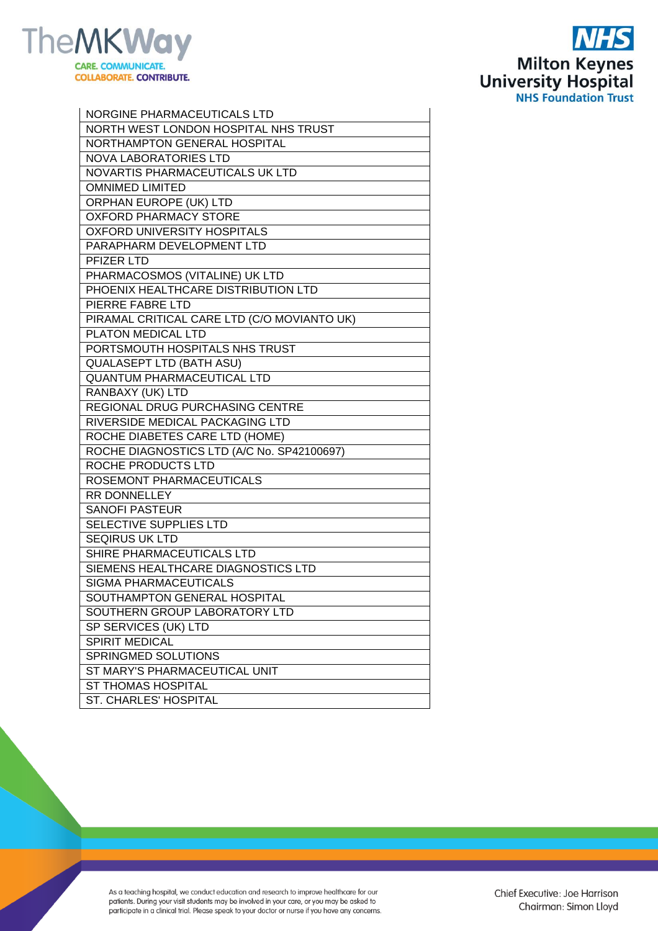



| NORGINE PHARMACEUTICALS LTD                 |
|---------------------------------------------|
| NORTH WEST LONDON HOSPITAL NHS TRUST        |
| NORTHAMPTON GENERAL HOSPITAL                |
| <b>NOVA LABORATORIES LTD</b>                |
| NOVARTIS PHARMACEUTICALS UK LTD             |
| <b>OMNIMED LIMITED</b>                      |
| ORPHAN EUROPE (UK) LTD                      |
| <b>OXFORD PHARMACY STORE</b>                |
| <b>OXFORD UNIVERSITY HOSPITALS</b>          |
| PARAPHARM DEVELOPMENT LTD                   |
| <b>PFIZER LTD</b>                           |
| PHARMACOSMOS (VITALINE) UK LTD              |
| PHOENIX HEALTHCARE DISTRIBUTION LTD         |
| PIERRE FABRE LTD                            |
| PIRAMAL CRITICAL CARE LTD (C/O MOVIANTO UK) |
| PLATON MEDICAL LTD                          |
| PORTSMOUTH HOSPITALS NHS TRUST              |
| <b>QUALASEPT LTD (BATH ASU)</b>             |
| <b>QUANTUM PHARMACEUTICAL LTD</b>           |
| RANBAXY (UK) LTD                            |
| REGIONAL DRUG PURCHASING CENTRE             |
| RIVERSIDE MEDICAL PACKAGING LTD             |
| ROCHE DIABETES CARE LTD (HOME)              |
| ROCHE DIAGNOSTICS LTD (A/C No. SP42100697)  |
| ROCHE PRODUCTS LTD                          |
| ROSEMONT PHARMACEUTICALS                    |
| RR DONNELLEY                                |
| <b>SANOFI PASTEUR</b>                       |
| SELECTIVE SUPPLIES LTD                      |
| <b>SEQIRUS UK LTD</b>                       |
| SHIRE PHARMACEUTICALS LTD                   |
| SIEMENS HEALTHCARE DIAGNOSTICS LTD          |
| <b>SIGMA PHARMACEUTICALS</b>                |
| SOUTHAMPTON GENERAL HOSPITAL                |
| SOUTHERN GROUP LABORATORY LTD               |
| SP SERVICES (UK) LTD                        |
| SPIRIT MEDICAL                              |
| SPRINGMED SOLUTIONS                         |
| ST MARY'S PHARMACEUTICAL UNIT               |
| <b>ST THOMAS HOSPITAL</b>                   |
| <b>ST. CHARLES' HOSPITAL</b>                |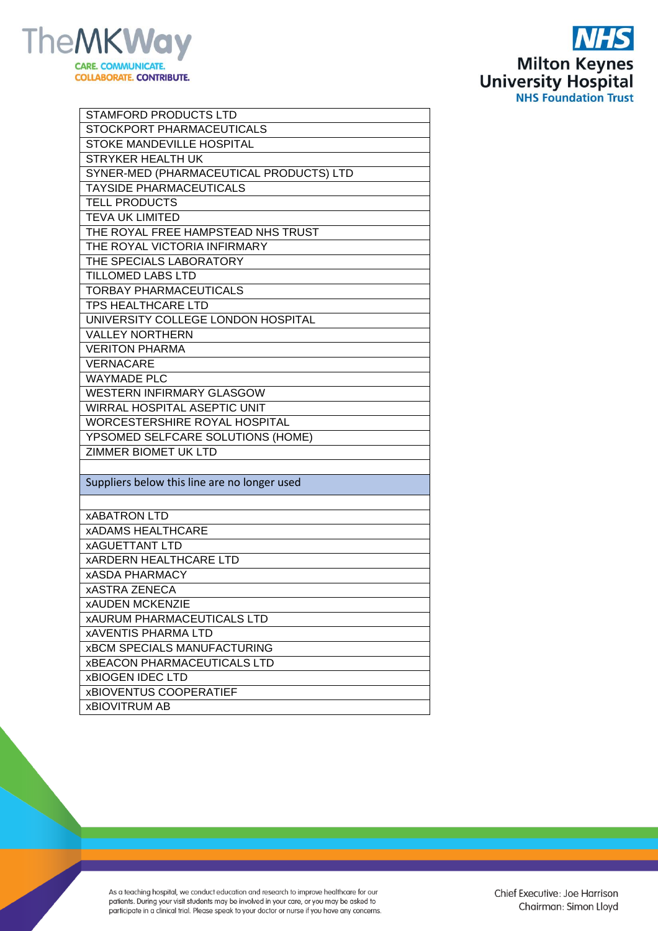



| <b>STAMFORD PRODUCTS LTD</b>                 |
|----------------------------------------------|
| STOCKPORT PHARMACEUTICALS                    |
| STOKE MANDEVILLE HOSPITAL                    |
| <b>STRYKER HEALTH UK</b>                     |
| SYNER-MED (PHARMACEUTICAL PRODUCTS) LTD      |
| <b>TAYSIDE PHARMACEUTICALS</b>               |
| <b>TELL PRODUCTS</b>                         |
| <b>TEVA UK LIMITED</b>                       |
| THE ROYAL FREE HAMPSTEAD NHS TRUST           |
| THE ROYAL VICTORIA INFIRMARY                 |
| THE SPECIALS LABORATORY                      |
| <b>TILLOMED LABS LTD</b>                     |
| <b>TORBAY PHARMACEUTICALS</b>                |
| <b>TPS HEALTHCARE LTD</b>                    |
| UNIVERSITY COLLEGE LONDON HOSPITAL           |
| <b>VALLEY NORTHERN</b>                       |
| <b>VERITON PHARMA</b>                        |
| <b>VERNACARE</b>                             |
| <b>WAYMADE PLC</b>                           |
| <b>WESTERN INFIRMARY GLASGOW</b>             |
| <b>WIRRAL HOSPITAL ASEPTIC UNIT</b>          |
| WORCESTERSHIRE ROYAL HOSPITAL                |
| YPSOMED SELFCARE SOLUTIONS (HOME)            |
| ZIMMER BIOMET UK LTD                         |
|                                              |
| Suppliers below this line are no longer used |
|                                              |
| <b>xABATRON LTD</b>                          |
| <b>xADAMS HEALTHCARE</b>                     |
| <b>xAGUETTANT LTD</b>                        |
| <b>XARDERN HEALTHCARE LTD</b>                |
| <b>xASDA PHARMACY</b>                        |
| <b>xASTRA ZENECA</b>                         |
| <b>xAUDEN MCKENZIE</b>                       |
| <b>xAURUM PHARMACEUTICALS LTD</b>            |
| <b>xAVENTIS PHARMA LTD</b>                   |
| <b>xBCM SPECIALS MANUFACTURING</b>           |
| <b>xBEACON PHARMACEUTICALS LTD</b>           |
| <b>xBIOGEN IDEC LTD</b>                      |
| <b>xBIOVENTUS COOPERATIEF</b>                |
| <b>xBIOVITRUM AB</b>                         |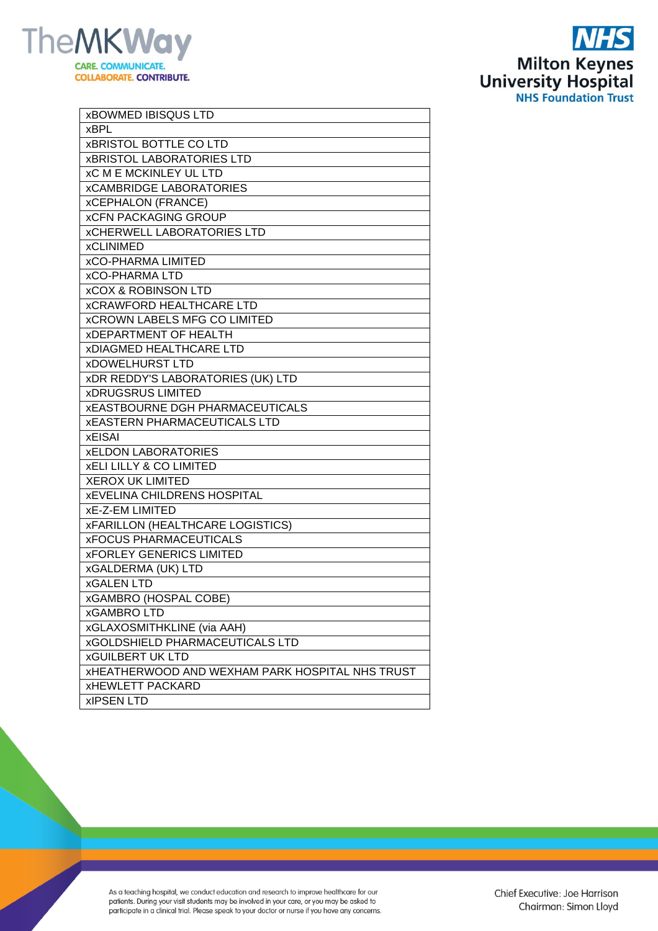



| <b>xBOWMED IBISQUS LTD</b>                             |
|--------------------------------------------------------|
| <b>xBPL</b>                                            |
| <b>xBRISTOL BOTTLE CO LTD</b>                          |
| <b>xBRISTOL LABORATORIES LTD</b>                       |
| <b>xC M E MCKINLEY UL LTD</b>                          |
| <b>xCAMBRIDGE LABORATORIES</b>                         |
| <b>xCEPHALON (FRANCE)</b>                              |
| <b>xCFN PACKAGING GROUP</b>                            |
| <b>xCHERWELL LABORATORIES LTD</b>                      |
| <b>xCLINIMED</b>                                       |
| <b>xCO-PHARMA LIMITED</b>                              |
| <b>xCO-PHARMA LTD</b>                                  |
| <b>xCOX &amp; ROBINSON LTD</b>                         |
| <b>xCRAWFORD HEALTHCARE LTD</b>                        |
| <b>xCROWN LABELS MFG CO LIMITED</b>                    |
| <b>XDEPARTMENT OF HEALTH</b>                           |
| <b>xDIAGMED HEALTHCARE LTD</b>                         |
| <b>xDOWELHURST LTD</b>                                 |
| <b>xDR REDDY'S LABORATORIES (UK) LTD</b>               |
| <b>xDRUGSRUS LIMITED</b>                               |
| <b>XEASTBOURNE DGH PHARMACEUTICALS</b>                 |
| <b>XEASTERN PHARMACEUTICALS LTD</b>                    |
| <b>xEISAI</b>                                          |
| <b>xELDON LABORATORIES</b>                             |
| <b>XELI LILLY &amp; CO LIMITED</b>                     |
| <b>XEROX UK LIMITED</b>                                |
| <b>XEVELINA CHILDRENS HOSPITAL</b>                     |
| <b>xE-Z-EM LIMITED</b>                                 |
| <b>xFARILLON (HEALTHCARE LOGISTICS)</b>                |
| <b>xFOCUS PHARMACEUTICALS</b>                          |
| <b>xFORLEY GENERICS LIMITED</b>                        |
| <b>xGALDERMA (UK) LTD</b>                              |
| <b>xGALEN LTD</b>                                      |
| <b>xGAMBRO (HOSPAL COBE)</b>                           |
| <b>xGAMBROLTD</b>                                      |
| <b>xGLAXOSMITHKLINE</b> (via AAH)                      |
| <b>xGOLDSHIELD PHARMACEUTICALS LTD</b>                 |
| <b>xGUILBERT UK LTD</b>                                |
| <b>XHEATHERWOOD AND WEXHAM PARK HOSPITAL NHS TRUST</b> |
| <b>xHEWLETT PACKARD</b>                                |
| <b>xIPSEN LTD</b>                                      |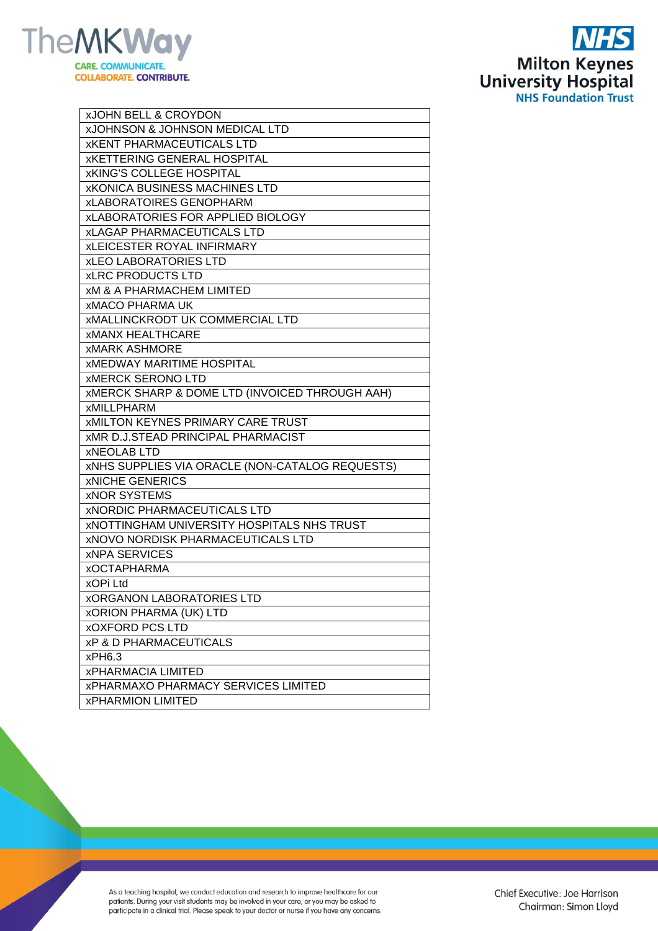



| <b>xJOHN BELL &amp; CROYDON</b>                           |
|-----------------------------------------------------------|
| <b>xJOHNSON &amp; JOHNSON MEDICAL LTD</b>                 |
| <b>XKENT PHARMACEUTICALS LTD</b>                          |
| <b>xKETTERING GENERAL HOSPITAL</b>                        |
| <b>xKING'S COLLEGE HOSPITAL</b>                           |
| <b>xKONICA BUSINESS MACHINES LTD</b>                      |
| <b>xLABORATOIRES GENOPHARM</b>                            |
| <b>xLABORATORIES FOR APPLIED BIOLOGY</b>                  |
| <b>xLAGAP PHARMACEUTICALS LTD</b>                         |
| <b>xLEICESTER ROYAL INFIRMARY</b>                         |
| <b>xLEO LABORATORIES LTD</b>                              |
| <b>xLRC PRODUCTS LTD</b>                                  |
| <b>xM &amp; A PHARMACHEM LIMITED</b>                      |
| <b>xMACO PHARMA UK</b>                                    |
| <b>XMALLINCKRODT UK COMMERCIAL LTD</b>                    |
| <b>XMANX HEALTHCARE</b>                                   |
| <b>xMARK ASHMORE</b>                                      |
| <b>XMEDWAY MARITIME HOSPITAL</b>                          |
| <b>XMERCK SERONO LTD</b>                                  |
| <b>XMERCK SHARP &amp; DOME LTD (INVOICED THROUGH AAH)</b> |
| <b>xMILLPHARM</b>                                         |
| <b>XMILTON KEYNES PRIMARY CARE TRUST</b>                  |
| <b>XMR D.J.STEAD PRINCIPAL PHARMACIST</b>                 |
| <b>xNEOLAB LTD</b>                                        |
| <b>XNHS SUPPLIES VIA ORACLE (NON-CATALOG REQUESTS)</b>    |
| <b>xNICHE GENERICS</b>                                    |
| <b>xNOR SYSTEMS</b>                                       |
| <b>XNORDIC PHARMACEUTICALS LTD</b>                        |
| <b>XNOTTINGHAM UNIVERSITY HOSPITALS NHS TRUST</b>         |
| <b>XNOVO NORDISK PHARMACEUTICALS LTD</b>                  |
| <b>xNPA SERVICES</b>                                      |
| <b>xOCTAPHARMA</b>                                        |
| xOPi Ltd                                                  |
| <b><i>XORGANON LABORATORIES LTD</i></b>                   |
| <b>xORION PHARMA (UK) LTD</b>                             |
| <b>xOXFORD PCS LTD</b>                                    |
| <b>xP &amp; D PHARMACEUTICALS</b>                         |
| xPH6.3                                                    |
| <b>xPHARMACIA LIMITED</b>                                 |
| <b>xPHARMAXO PHARMACY SERVICES LIMITED</b>                |
| <b>xPHARMION LIMITED</b>                                  |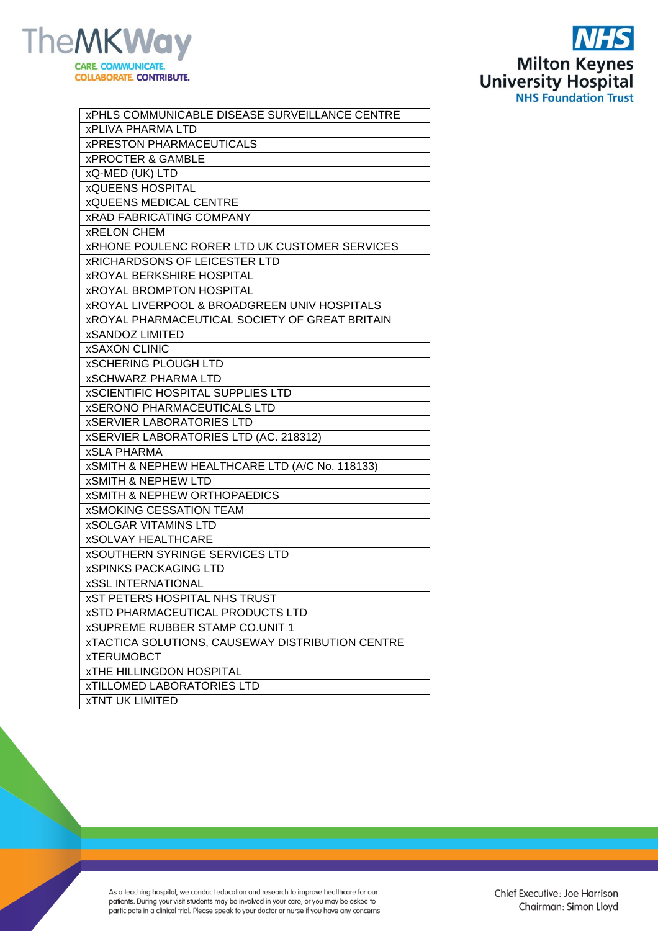



| <b>xPHLS COMMUNICABLE DISEASE SURVEILLANCE CENTRE</b>   |
|---------------------------------------------------------|
| <b>xPLIVA PHARMA LTD</b>                                |
| <b>xPRESTON PHARMACEUTICALS</b>                         |
| <b>xPROCTER &amp; GAMBLE</b>                            |
| xQ-MED (UK) LTD                                         |
| <b>xQUEENS HOSPITAL</b>                                 |
| <b>xQUEENS MEDICAL CENTRE</b>                           |
| <b>xRAD FABRICATING COMPANY</b>                         |
| <b>xRELON CHEM</b>                                      |
| <b>XRHONE POULENC RORER LTD UK CUSTOMER SERVICES</b>    |
| <b>XRICHARDSONS OF LEICESTER LTD</b>                    |
| <b>xROYAL BERKSHIRE HOSPITAL</b>                        |
| <b>xROYAL BROMPTON HOSPITAL</b>                         |
| <b>XROYAL LIVERPOOL &amp; BROADGREEN UNIV HOSPITALS</b> |
| <b>xROYAL PHARMACEUTICAL SOCIETY OF GREAT BRITAIN</b>   |
| <b>xSANDOZ LIMITED</b>                                  |
| <b>xSAXON CLINIC</b>                                    |
| <b>xSCHERING PLOUGH LTD</b>                             |
| <b>xSCHWARZ PHARMA LTD</b>                              |
| <b>xSCIENTIFIC HOSPITAL SUPPLIES LTD</b>                |
| <b>xSERONO PHARMACEUTICALS LTD</b>                      |
| <b>xSERVIER LABORATORIES LTD</b>                        |
| xSERVIER LABORATORIES LTD (AC. 218312)                  |
| <b>xSLA PHARMA</b>                                      |
| xSMITH & NEPHEW HEALTHCARE LTD (A/C No. 118133)         |
| <b>xSMITH &amp; NEPHEW LTD</b>                          |
| <b>xSMITH &amp; NEPHEW ORTHOPAEDICS</b>                 |
| <b>xSMOKING CESSATION TEAM</b>                          |
| <b>xSOLGAR VITAMINS LTD</b>                             |
| <b>xSOLVAY HEALTHCARE</b>                               |
| <b>xSOUTHERN SYRINGE SERVICES LTD</b>                   |
| <b>xSPINKS PACKAGING LTD</b>                            |
| <b>xSSL INTERNATIONAL</b>                               |
| <b>xST PETERS HOSPITAL NHS TRUST</b>                    |
| <b>xSTD PHARMACEUTICAL PRODUCTS LTD</b>                 |
| <b>xSUPREME RUBBER STAMP CO.UNIT 1</b>                  |
| <b>xTACTICA SOLUTIONS, CAUSEWAY DISTRIBUTION CENTRE</b> |
| <b>xTERUMOBCT</b>                                       |
| <b>XTHE HILLINGDON HOSPITAL</b>                         |
| <b>xTILLOMED LABORATORIES LTD</b>                       |
| <b>xTNT UK LIMITED</b>                                  |